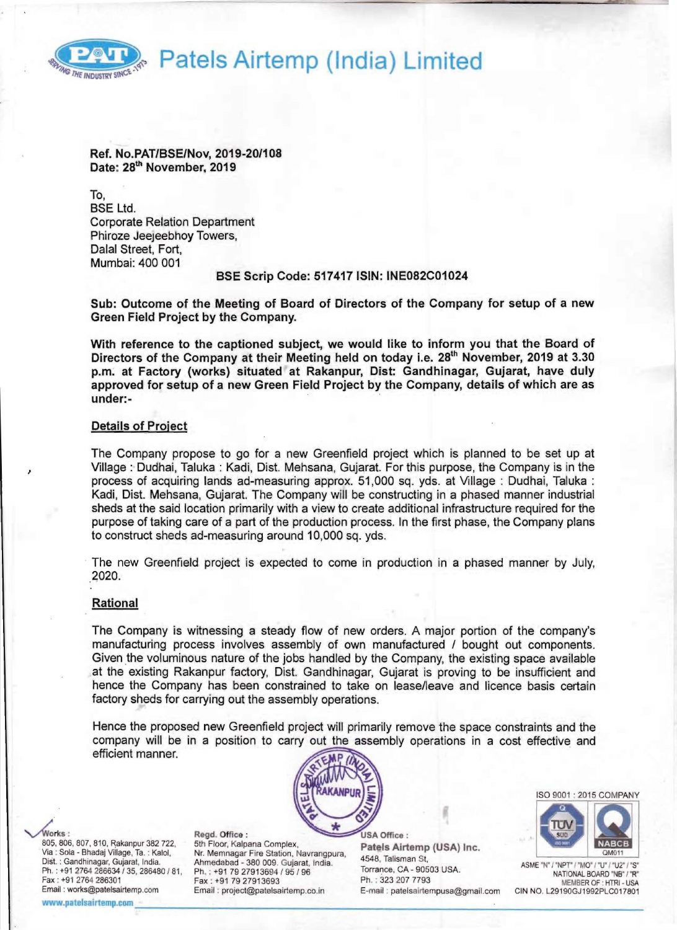

# **Patels Airtemp (India) Limited**

Ref. No.PAT/BSE/Nov, 2019-20/108 Date: 28*th* November. 2019

To, BSE Ltd. Corporate Relation Department Phiroze Jeejeebhoy Towers, Dalal Street, Fort, Mumbai: 400 001

#### BSE Scrip Code: 517417 ISIN: INE082C01024

Sub: Outcome of the Meeting of Board of Directors of the Company for setup of a new Green Field Project by the Company.

With reference to the captioned subject, we would like to inform you that the Board of Directors of the Company at their Meeting held on today i.e. 28<sup>th</sup> November, 2019 at 3.30 p.m. at Factory (works) situated at Rakanpur, Dist: Gandhinagar, Gujarat, have duly approved for setup of a new Green Field Project by the Company, details of which are as under:

# Details of Project

The Company propose to go for a new Greenfield project which is planned to be set up at Village: Dudhai, Taluka : Kadi, Dist. Mehsana, Gujarat. For this purpose, the Company is in the process of acquiring lands ad-measuring approx. 51,000 sq. yds. at Village: Dudhai, Taluka : Kadi, Dist. Mehsana, Gujarat. The Company will be constructing in a phased manner industrial sheds at the said location primarily with a view to create additional infrastructure required for the purpose of taking care of a part of the production process. In the first phase, the Company plans to construct sheds ad-measuring around 10,000 sq. yds.

. The new Greenfield project is expected to come in production in a phased manner by July, 2020.

# Rational

The Company is witnessing a steady flow of new orders. A major portion of the company's manufacturing process involves assembly of own manufactured / bought out components. Given the voluminous nature of the jobs handled by the Company, the existing space available at the existing Rakanpur factory, Dist. Gandhinagar, Gujarat is proving to be insufficient and hence the Company has been constrained to take on lease/leave and licence basis certain factory sheds for carrying out the assembly operations.

Hence the proposed new Greenfield project will primarily remove the space constraints and the company will be in a position to carry out the assembly operations in a cost effective and efficient manner.



Works:<br>805, 806, 807, 810, Rakanpur 382 722, 5th Floor, Kalpana Complex, **Patels Airtemp (USA) Inc.**<br>1995, 806, 807, 810, Rakanpur 382 722, 5th Floor, Kalpana Complex, **Patels Airtemp (USA) Inc.**<br>2006. Dist.: Gandhinagar,

Ph : +91 *2764 286634/35, 286480 / 81 ,* Ph. : +91 79 27913694 1951 96 Torrance, CA - 90503 USA. NATIONAL BOARD B" *lOR"* Fax : +91 2764 286301 Fax: +91 79 <sup>2791</sup> 3693 Ph. , 323 207 7793 MEMBER OF : HTRI - USA

Email : works@patelsairtemp.com Email : project@patelsairtemp.co.in E-mail : patelsairtempusa@gmail.com CIN NO. L29190GJ1992PLC017801<br>www.patelsairtemp.com Email : project@patelsairtemp.co.in E-mail : patelsairtempusa@gmai

ISO 9001 ; 20 15 COMPANY